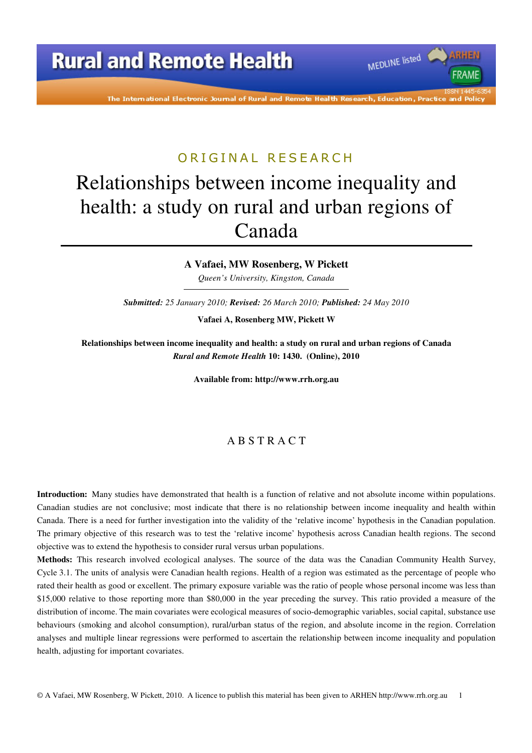The International Electronic Journal of Rural and Remote Health Research, Education, Practice and Policy

MEDLINE listed

FRAME

### ORIGINAL RESEARCH

# Relationships between income inequality and health: a study on rural and urban regions of Canada

#### **A Vafaei, MW Rosenberg, W Pickett**

*Queen's University, Kingston, Canada* 

*Submitted: 25 January 2010; Revised: 26 March 2010; Published: 24 May 2010* 

**Vafaei A, Rosenberg MW, Pickett W** 

**Relationships between income inequality and health: a study on rural and urban regions of Canada**  *Rural and Remote Health* **10: 1430. (Online), 2010** 

**Available from: http://www.rrh.org.au** 

### A B S T R A C T

**Introduction:** Many studies have demonstrated that health is a function of relative and not absolute income within populations. Canadian studies are not conclusive; most indicate that there is no relationship between income inequality and health within Canada. There is a need for further investigation into the validity of the 'relative income' hypothesis in the Canadian population. The primary objective of this research was to test the 'relative income' hypothesis across Canadian health regions. The second objective was to extend the hypothesis to consider rural versus urban populations.

**Methods:** This research involved ecological analyses. The source of the data was the Canadian Community Health Survey, Cycle 3.1. The units of analysis were Canadian health regions. Health of a region was estimated as the percentage of people who rated their health as good or excellent. The primary exposure variable was the ratio of people whose personal income was less than \$15,000 relative to those reporting more than \$80,000 in the year preceding the survey. This ratio provided a measure of the distribution of income. The main covariates were ecological measures of socio-demographic variables, social capital, substance use behaviours (smoking and alcohol consumption), rural/urban status of the region, and absolute income in the region. Correlation analyses and multiple linear regressions were performed to ascertain the relationship between income inequality and population health, adjusting for important covariates.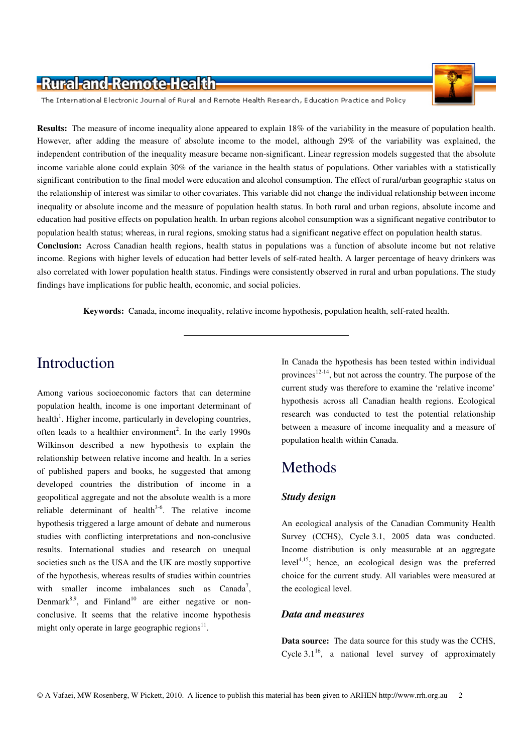The International Electronic Journal of Rural and Remote Health Research, Education Practice and Policy

**Results:** The measure of income inequality alone appeared to explain 18% of the variability in the measure of population health. However, after adding the measure of absolute income to the model, although 29% of the variability was explained, the independent contribution of the inequality measure became non-significant. Linear regression models suggested that the absolute income variable alone could explain 30% of the variance in the health status of populations. Other variables with a statistically significant contribution to the final model were education and alcohol consumption. The effect of rural/urban geographic status on the relationship of interest was similar to other covariates. This variable did not change the individual relationship between income inequality or absolute income and the measure of population health status. In both rural and urban regions, absolute income and education had positive effects on population health. In urban regions alcohol consumption was a significant negative contributor to population health status; whereas, in rural regions, smoking status had a significant negative effect on population health status. **Conclusion:** Across Canadian health regions, health status in populations was a function of absolute income but not relative income. Regions with higher levels of education had better levels of self-rated health. A larger percentage of heavy drinkers was also correlated with lower population health status. Findings were consistently observed in rural and urban populations. The study

findings have implications for public health, economic, and social policies.

**Keywords:** Canada, income inequality, relative income hypothesis, population health, self-rated health.

# Introduction

Among various socioeconomic factors that can determine population health, income is one important determinant of health<sup>1</sup>. Higher income, particularly in developing countries, often leads to a healthier environment<sup>2</sup>. In the early 1990s Wilkinson described a new hypothesis to explain the relationship between relative income and health. In a series of published papers and books, he suggested that among developed countries the distribution of income in a geopolitical aggregate and not the absolute wealth is a more reliable determinant of health $3-6$ . The relative income hypothesis triggered a large amount of debate and numerous studies with conflicting interpretations and non-conclusive results. International studies and research on unequal societies such as the USA and the UK are mostly supportive of the hypothesis, whereas results of studies within countries with smaller income imbalances such as  $Canada<sup>7</sup>$ , Denmark $8.9$ , and Finland<sup>10</sup> are either negative or nonconclusive. It seems that the relative income hypothesis might only operate in large geographic regions $^{11}$ .

In Canada the hypothesis has been tested within individual provinces<sup>12-14</sup>, but not across the country. The purpose of the current study was therefore to examine the 'relative income' hypothesis across all Canadian health regions. Ecological research was conducted to test the potential relationship between a measure of income inequality and a measure of population health within Canada.

### Methods

#### *Study design*

An ecological analysis of the Canadian Community Health Survey (CCHS), Cycle 3.1, 2005 data was conducted. Income distribution is only measurable at an aggregate level $4,15$ ; hence, an ecological design was the preferred choice for the current study. All variables were measured at the ecological level.

#### *Data and measures*

**Data source:** The data source for this study was the CCHS, Cycle  $3.1^{16}$ , a national level survey of approximately

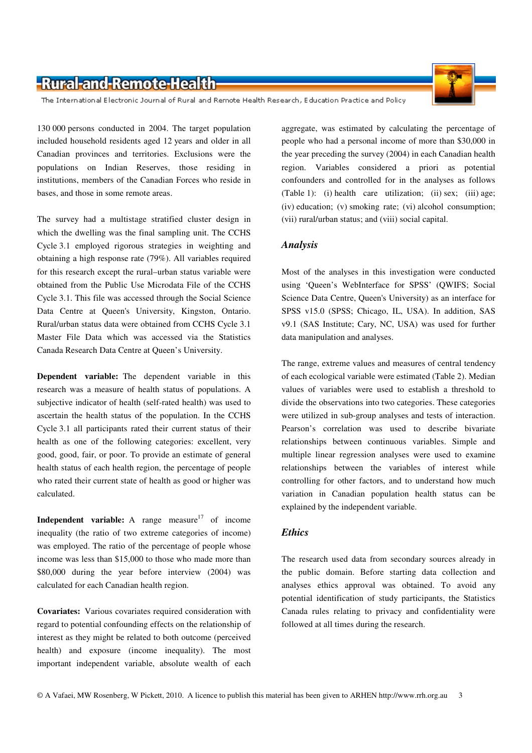The International Electronic Journal of Rural and Remote Health Research, Education Practice and Policy

130 000 persons conducted in 2004. The target population included household residents aged 12 years and older in all Canadian provinces and territories. Exclusions were the populations on Indian Reserves, those residing in institutions, members of the Canadian Forces who reside in bases, and those in some remote areas.

The survey had a multistage stratified cluster design in which the dwelling was the final sampling unit. The CCHS Cycle 3.1 employed rigorous strategies in weighting and obtaining a high response rate (79%). All variables required for this research except the rural–urban status variable were obtained from the Public Use Microdata File of the CCHS Cycle 3.1. This file was accessed through the Social Science Data Centre at Queen's University, Kingston, Ontario. Rural/urban status data were obtained from CCHS Cycle 3.1 Master File Data which was accessed via the Statistics Canada Research Data Centre at Queen's University.

**Dependent variable:** The dependent variable in this research was a measure of health status of populations. A subjective indicator of health (self-rated health) was used to ascertain the health status of the population. In the CCHS Cycle 3.1 all participants rated their current status of their health as one of the following categories: excellent, very good, good, fair, or poor. To provide an estimate of general health status of each health region, the percentage of people who rated their current state of health as good or higher was calculated.

**Independent variable:** A range measure<sup>17</sup> of income inequality (the ratio of two extreme categories of income) was employed. The ratio of the percentage of people whose income was less than \$15,000 to those who made more than \$80,000 during the year before interview (2004) was calculated for each Canadian health region.

**Covariates:** Various covariates required consideration with regard to potential confounding effects on the relationship of interest as they might be related to both outcome (perceived health) and exposure (income inequality). The most important independent variable, absolute wealth of each

aggregate, was estimated by calculating the percentage of people who had a personal income of more than \$30,000 in the year preceding the survey (2004) in each Canadian health region. Variables considered a priori as potential confounders and controlled for in the analyses as follows (Table 1): (i) health care utilization; (ii) sex; (iii) age; (iv) education; (v) smoking rate; (vi) alcohol consumption; (vii) rural/urban status; and (viii) social capital.

#### *Analysis*

Most of the analyses in this investigation were conducted using 'Queen's WebInterface for SPSS' (QWIFS; Social Science Data Centre, Queen's University) as an interface for SPSS v15.0 (SPSS; Chicago, IL, USA). In addition, SAS v9.1 (SAS Institute; Cary, NC, USA) was used for further data manipulation and analyses.

The range, extreme values and measures of central tendency of each ecological variable were estimated (Table 2). Median values of variables were used to establish a threshold to divide the observations into two categories. These categories were utilized in sub-group analyses and tests of interaction. Pearson's correlation was used to describe bivariate relationships between continuous variables. Simple and multiple linear regression analyses were used to examine relationships between the variables of interest while controlling for other factors, and to understand how much variation in Canadian population health status can be explained by the independent variable.

#### *Ethics*

The research used data from secondary sources already in the public domain. Before starting data collection and analyses ethics approval was obtained. To avoid any potential identification of study participants, the Statistics Canada rules relating to privacy and confidentiality were followed at all times during the research.

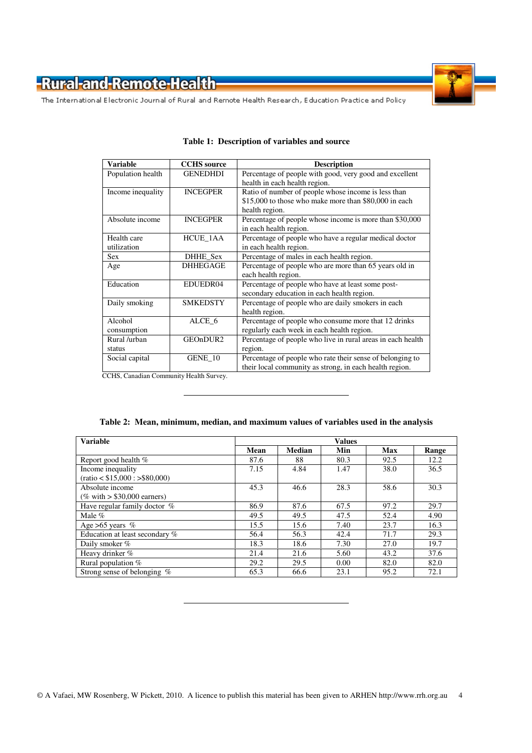



The International Electronic Journal of Rural and Remote Health Research, Education Practice and Policy

| <b>Variable</b>   | <b>CCHS</b> source | <b>Description</b>                                          |
|-------------------|--------------------|-------------------------------------------------------------|
| Population health | <b>GENEDHDI</b>    | Percentage of people with good, very good and excellent     |
|                   |                    | health in each health region.                               |
| Income inequality | <b>INCEGPER</b>    | Ratio of number of people whose income is less than         |
|                   |                    | \$15,000 to those who make more than \$80,000 in each       |
|                   |                    | health region.                                              |
| Absolute income   | <b>INCEGPER</b>    | Percentage of people whose income is more than \$30,000     |
|                   |                    | in each health region.                                      |
| Health care       | HCUE_1AA           | Percentage of people who have a regular medical doctor      |
| utilization       |                    | in each health region.                                      |
| <b>Sex</b>        | DHHE Sex           | Percentage of males in each health region.                  |
| Age               | <b>DHHEGAGE</b>    | Percentage of people who are more than 65 years old in      |
|                   |                    | each health region.                                         |
| Education         | EDUEDR04           | Percentage of people who have at least some post-           |
|                   |                    | secondary education in each health region.                  |
| Daily smoking     | <b>SMKEDSTY</b>    | Percentage of people who are daily smokers in each          |
|                   |                    | health region.                                              |
| Alcohol           | ALCE 6             | Percentage of people who consume more that 12 drinks        |
| consumption       |                    | regularly each week in each health region.                  |
| Rural /urban      | GEOnDUR2           | Percentage of people who live in rural areas in each health |
| status            |                    | region.                                                     |
| Social capital    | GENE 10            | Percentage of people who rate their sense of belonging to   |
|                   |                    | their local community as strong, in each health region.     |

#### **Table 1: Description of variables and source**

CCHS, Canadian Community Health Survey.

| <b>Variable</b>                 | <b>Values</b> |               |      |      |       |  |
|---------------------------------|---------------|---------------|------|------|-------|--|
|                                 | Mean          | <b>Median</b> | Min  | Max  | Range |  |
| Report good health %            | 87.6          | 88            | 80.3 | 92.5 | 12.2  |  |
| Income inequality               | 7.15          | 4.84          | 1.47 | 38.0 | 36.5  |  |
| $(ratio < $15,000$ : >\$80,000) |               |               |      |      |       |  |
| Absolute income                 | 45.3          | 46.6          | 28.3 | 58.6 | 30.3  |  |
| (% with $> $30,000$ earners)    |               |               |      |      |       |  |
| Have regular family doctor %    | 86.9          | 87.6          | 67.5 | 97.2 | 29.7  |  |
| Male %                          | 49.5          | 49.5          | 47.5 | 52.4 | 4.90  |  |
| Age $>65$ years %               | 15.5          | 15.6          | 7.40 | 23.7 | 16.3  |  |
| Education at least secondary %  | 56.4          | 56.3          | 42.4 | 71.7 | 29.3  |  |
| Daily smoker %                  | 18.3          | 18.6          | 7.30 | 27.0 | 19.7  |  |
| Heavy drinker %                 | 21.4          | 21.6          | 5.60 | 43.2 | 37.6  |  |
| Rural population %              | 29.2          | 29.5          | 0.00 | 82.0 | 82.0  |  |
| Strong sense of belonging $%$   | 65.3          | 66.6          | 23.1 | 95.2 | 72.1  |  |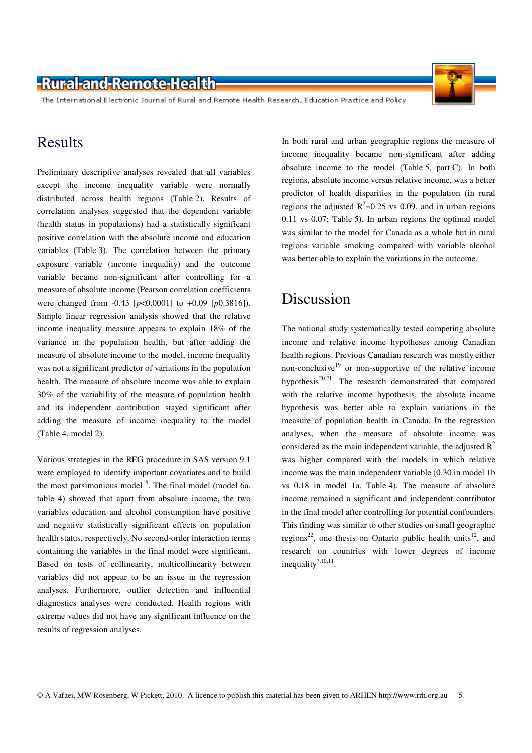The International Electronic Journal of Rural and Remote Health Research, Education Practice and Policy

### Results

Preliminary descriptive analyses revealed that all variables except the income inequality variable were normally distributed across health regions (Table 2). Results of correlation analyses suggested that the dependent variable (health status in populations) had a statistically significant positive correlation with the absolute income and education variables (Table 3). The correlation between the primary exposure variable (income inequality) and the outcome variable became non-significant after controlling for a measure of absolute income (Pearson correlation coefficients were changed from -0.43 [*p*<0.0001] to +0.09 [*p*0.3816]). Simple linear regression analysis showed that the relative income inequality measure appears to explain 18% of the variance in the population health, but after adding the measure of absolute income to the model, income inequality was not a significant predictor of variations in the population health. The measure of absolute income was able to explain 30% of the variability of the measure of population health and its independent contribution stayed significant after adding the measure of income inequality to the model (Table 4, model 2).

Various strategies in the REG procedure in SAS version 9.1 were employed to identify important covariates and to build the most parsimonious model<sup>18</sup>. The final model (model 6a, table 4) showed that apart from absolute income, the two variables education and alcohol consumption have positive and negative statistically significant effects on population health status, respectively. No second-order interaction terms containing the variables in the final model were significant. Based on tests of collinearity, multicollinearity between variables did not appear to be an issue in the regression analyses. Furthermore, outlier detection and influential diagnostics analyses were conducted. Health regions with extreme values did not have any significant influence on the results of regression analyses.

In both rural and urban geographic regions the measure of income inequality became non-significant after adding absolute income to the model (Table 5, part C). In both regions, absolute income versus relative income, was a better predictor of health disparities in the population (in rural regions the adjusted  $R^2$ =0.25 vs 0.09, and in urban regions 0.11 vs 0.07; Table 5). In urban regions the optimal model was similar to the model for Canada as a whole but in rural regions variable smoking compared with variable alcohol was better able to explain the variations in the outcome.

### Discussion

The national study systematically tested competing absolute income and relative income hypotheses among Canadian health regions. Previous Canadian research was mostly either non-conclusive<sup>19</sup> or non-supportive of the relative income hypothesis $^{20,21}$ . The research demonstrated that compared with the relative income hypothesis, the absolute income hypothesis was better able to explain variations in the measure of population health in Canada. In the regression analyses, when the measure of absolute income was considered as the main independent variable, the adjusted  $R^2$ was higher compared with the models in which relative income was the main independent variable (0.30 in model 1b vs 0.18 in model 1a, Table 4). The measure of absolute income remained a significant and independent contributor in the final model after controlling for potential confounders. This finding was similar to other studies on small geographic regions<sup>22</sup>, one thesis on Ontario public health units<sup>12</sup>, and research on countries with lower degrees of income inequality<sup>7,10,11</sup>.

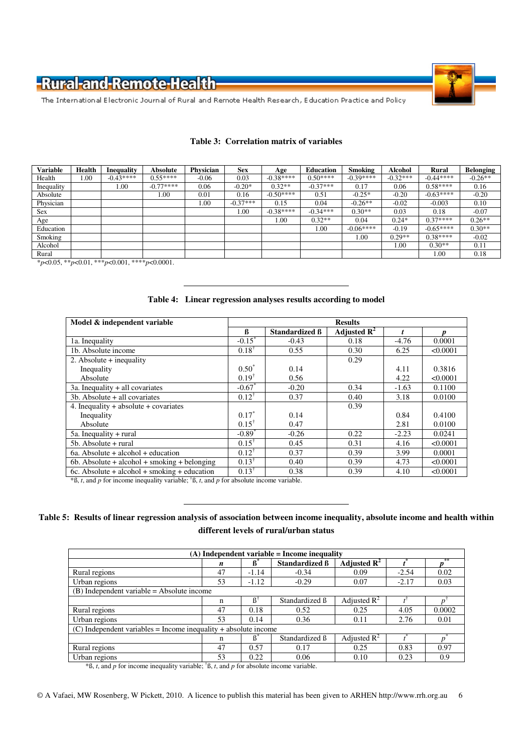



The International Electronic Journal of Rural and Remote Health Research, Education Practice and Policy

| <b>Variable</b> | Health | <b>Inequality</b> | <b>Absolute</b> | <b>Physician</b> | <b>Sex</b> | Age        | <b>Education</b> | Smoking    | <b>Alcohol</b> | <b>Rural</b> | Belonging |
|-----------------|--------|-------------------|-----------------|------------------|------------|------------|------------------|------------|----------------|--------------|-----------|
| Health          | 1.00   | $-0.43***$        | $0.55***$       | $-0.06$          | 0.03       | $-0.38***$ | $0.50***$        | $-0.39***$ | $-0.32***$     | $-0.44***$   | $-0.26**$ |
| Inequality      |        | 00.1              | $-0.77***$      | 0.06             | $-0.20*$   | $0.32**$   | $-0.37***$       | 0.17       | 0.06           | $0.58***$    | 0.16      |
| Absolute        |        |                   | 1.00            | 0.01             | 0.16       | $-0.50***$ | 0.51             | $-0.25*$   | $-0.20$        | $-0.63***$   | $-0.20$   |
| Physician       |        |                   |                 | 00.1             | $-0.37***$ | 0.15       | 0.04             | $-0.26**$  | $-0.02$        | $-0.003$     | 0.10      |
| <b>Sex</b>      |        |                   |                 |                  | 00.1       | $-0.38***$ | $-0.34***$       | $0.30**$   | 0.03           | 0.18         | $-0.07$   |
| Age             |        |                   |                 |                  |            | 1.00       | $0.32**$         | 0.04       | $0.24*$        | $0.37***$    | $0.26**$  |
| Education       |        |                   |                 |                  |            |            | 00.1             | $-0.06***$ | $-0.19$        | $-0.65***$   | $0.30**$  |
| Smoking         |        |                   |                 |                  |            |            |                  | 1.00       | $0.29**$       | $0.38***$    | $-0.02$   |
| Alcohol         |        |                   |                 |                  |            |            |                  |            | 1.00           | $0.30**$     | 0.11      |
| Rural           |        |                   |                 |                  |            |            |                  |            |                | .00          | 0.18      |

#### **Table 3: Correlation matrix of variables**

\**p*<0.05, \*\**p*<0.01, \*\*\**p*<0.001, \*\*\*\**p*<0.0001.

#### **Table 4: Linear regression analyses results according to model**

| Model & independent variable                   | <b>Results</b>       |                       |                           |         |          |  |
|------------------------------------------------|----------------------|-----------------------|---------------------------|---------|----------|--|
|                                                | ß                    | <b>Standardized B</b> | Adjusted $\overline{R^2}$ |         |          |  |
| 1a. Inequality                                 | $-0.15$ <sup>*</sup> | $-0.43$               | 0.18                      | $-4.76$ | 0.0001   |  |
| 1b. Absolute income                            | $0.18^+$             | 0.55                  | 0.30                      | 6.25    | < 0.0001 |  |
| 2. Absolute $+$ inequality                     |                      |                       | 0.29                      |         |          |  |
| Inequality                                     | $0.50*$              | 0.14                  |                           | 4.11    | 0.3816   |  |
| Absolute                                       | $0.19^{\dagger}$     | 0.56                  |                           | 4.22    | < 0.0001 |  |
| $3a$ . Inequality $+$ all covariates           | $-0.67$              | $-0.20$               | 0.34                      | $-1.63$ | 0.1100   |  |
| $3b.$ Absolute $+$ all covariates              | $0.12^+$             | 0.37                  | 0.40                      | 3.18    | 0.0100   |  |
| 4. Inequality $+$ absolute $+$ covariates      |                      |                       | 0.39                      |         |          |  |
| Inequality                                     | $0.17*$              | 0.14                  |                           | 0.84    | 0.4100   |  |
| Absolute                                       | $0.15^{\dagger}$     | 0.47                  |                           | 2.81    | 0.0100   |  |
| $5a$ . Inequality + rural                      | $-0.89*$             | $-0.26$               | 0.22                      | $-2.23$ | 0.0241   |  |
| $5b. Absolute + rural$                         | $0.15^{\dagger}$     | 0.45                  | 0.31                      | 4.16    | < 0.0001 |  |
| $6a.$ Absolute + alcohol + education           | $0.12^{\dagger}$     | 0.37                  | 0.39                      | 3.99    | 0.0001   |  |
| $6b. Absolute + alcohol + smoking + belonging$ | $0.13^{\dagger}$     | 0.40                  | 0.39                      | 4.73    | < 0.0001 |  |
| $6c.$ Absolute + alcohol + smoking + education | $0.13^{\dagger}$     | 0.38                  | 0.39                      | 4.10    | < 0.0001 |  |

 $*$ ß, *t*, and *p* for income inequality variable;  $*$ ß, *t*, and *p* for absolute income variable.

#### **Table 5: Results of linear regression analysis of association between income inequality, absolute income and health within different levels of rural/urban status**

| $(A)$ Independent variable = Income inequality                    |    |                |                |                         |         |        |  |  |  |
|-------------------------------------------------------------------|----|----------------|----------------|-------------------------|---------|--------|--|--|--|
|                                                                   | n  | ß              | Standardized B | Adjusted $\mathbb{R}^2$ |         | **     |  |  |  |
| Rural regions                                                     | 47 | $-1.14$        | $-0.34$        | 0.09                    | $-2.54$ | 0.02   |  |  |  |
| Urban regions                                                     | 53 | $-1.12$        | $-0.29$        | 0.07                    | $-2.17$ | 0.03   |  |  |  |
| $(B)$ Independent variable = Absolute income                      |    |                |                |                         |         |        |  |  |  |
|                                                                   | n  | $\mathbb{R}^3$ | Standardized B | Adjusted $R^2$          |         |        |  |  |  |
| Rural regions                                                     | 47 | 0.18           | 0.52           | 0.25                    | 4.05    | 0.0002 |  |  |  |
| Urban regions                                                     | 53 | 0.14           | 0.36           | 0.11                    | 2.76    | 0.01   |  |  |  |
| $(C)$ Independent variables = Income inequality + absolute income |    |                |                |                         |         |        |  |  |  |
|                                                                   | n  | ß              | Standardized B | Adjusted $\mathbb{R}^2$ |         |        |  |  |  |
| Rural regions                                                     | 47 | 0.57           | 0.17           | 0.25                    | 0.83    | 0.97   |  |  |  |
| Urban regions                                                     | 53 | 0.22           | 0.06           | 0.10                    | 0.23    | 0.9    |  |  |  |

 $*$ B, *t*, and *p* for income inequality variable; <sup>†</sup>B, *t*, and *p* for absolute income variable.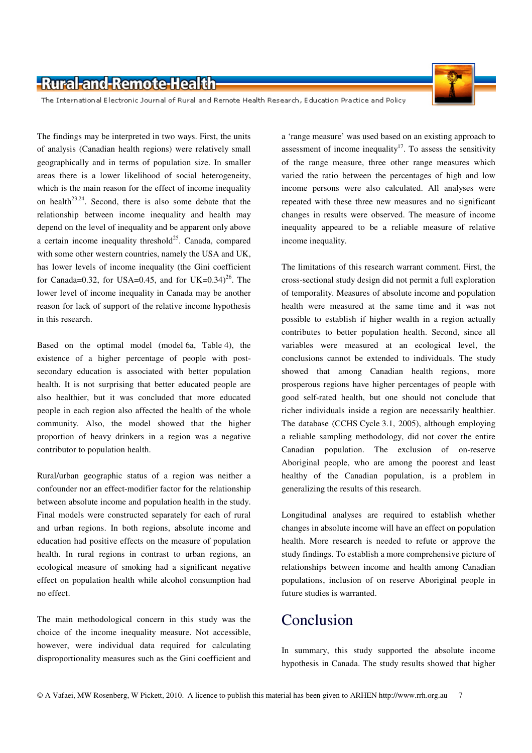

The International Electronic Journal of Rural and Remote Health Research, Education Practice and Policy

The findings may be interpreted in two ways. First, the units of analysis (Canadian health regions) were relatively small geographically and in terms of population size. In smaller areas there is a lower likelihood of social heterogeneity, which is the main reason for the effect of income inequality on health<sup>23,24</sup>. Second, there is also some debate that the relationship between income inequality and health may depend on the level of inequality and be apparent only above a certain income inequality threshold<sup>25</sup>. Canada, compared with some other western countries, namely the USA and UK, has lower levels of income inequality (the Gini coefficient for Canada=0.32, for USA=0.45, and for UK=0.34)<sup>26</sup>. The lower level of income inequality in Canada may be another reason for lack of support of the relative income hypothesis in this research.

Based on the optimal model (model 6a, Table 4), the existence of a higher percentage of people with postsecondary education is associated with better population health. It is not surprising that better educated people are also healthier, but it was concluded that more educated people in each region also affected the health of the whole community. Also, the model showed that the higher proportion of heavy drinkers in a region was a negative contributor to population health.

Rural/urban geographic status of a region was neither a confounder nor an effect-modifier factor for the relationship between absolute income and population health in the study. Final models were constructed separately for each of rural and urban regions. In both regions, absolute income and education had positive effects on the measure of population health. In rural regions in contrast to urban regions, an ecological measure of smoking had a significant negative effect on population health while alcohol consumption had no effect.

The main methodological concern in this study was the choice of the income inequality measure. Not accessible, however, were individual data required for calculating disproportionality measures such as the Gini coefficient and

a 'range measure' was used based on an existing approach to assessment of income inequality<sup>17</sup>. To assess the sensitivity of the range measure, three other range measures which varied the ratio between the percentages of high and low income persons were also calculated. All analyses were repeated with these three new measures and no significant changes in results were observed. The measure of income inequality appeared to be a reliable measure of relative income inequality.

The limitations of this research warrant comment. First, the cross-sectional study design did not permit a full exploration of temporality. Measures of absolute income and population health were measured at the same time and it was not possible to establish if higher wealth in a region actually contributes to better population health. Second, since all variables were measured at an ecological level, the conclusions cannot be extended to individuals. The study showed that among Canadian health regions, more prosperous regions have higher percentages of people with good self-rated health, but one should not conclude that richer individuals inside a region are necessarily healthier. The database (CCHS Cycle 3.1, 2005), although employing a reliable sampling methodology, did not cover the entire Canadian population. The exclusion of on-reserve Aboriginal people, who are among the poorest and least healthy of the Canadian population, is a problem in generalizing the results of this research.

Longitudinal analyses are required to establish whether changes in absolute income will have an effect on population health. More research is needed to refute or approve the study findings. To establish a more comprehensive picture of relationships between income and health among Canadian populations, inclusion of on reserve Aboriginal people in future studies is warranted.

# Conclusion

In summary, this study supported the absolute income hypothesis in Canada. The study results showed that higher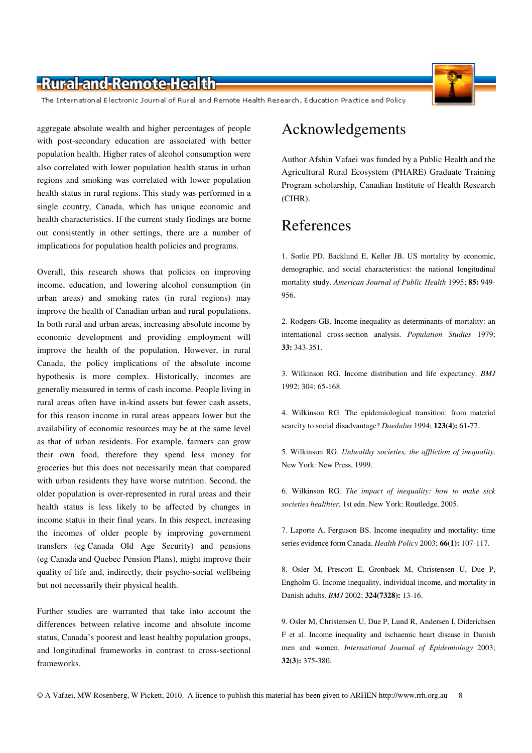The International Electronic Journal of Rural and Remote Health Research, Education Practice and Policy

aggregate absolute wealth and higher percentages of people with post-secondary education are associated with better population health. Higher rates of alcohol consumption were also correlated with lower population health status in urban regions and smoking was correlated with lower population health status in rural regions. This study was performed in a single country, Canada, which has unique economic and health characteristics. If the current study findings are borne out consistently in other settings, there are a number of implications for population health policies and programs.

Overall, this research shows that policies on improving income, education, and lowering alcohol consumption (in urban areas) and smoking rates (in rural regions) may improve the health of Canadian urban and rural populations. In both rural and urban areas, increasing absolute income by economic development and providing employment will improve the health of the population. However, in rural Canada, the policy implications of the absolute income hypothesis is more complex. Historically, incomes are generally measured in terms of cash income. People living in rural areas often have in-kind assets but fewer cash assets, for this reason income in rural areas appears lower but the availability of economic resources may be at the same level as that of urban residents. For example, farmers can grow their own food, therefore they spend less money for groceries but this does not necessarily mean that compared with urban residents they have worse nutrition. Second, the older population is over-represented in rural areas and their health status is less likely to be affected by changes in income status in their final years. In this respect, increasing the incomes of older people by improving government transfers (eg Canada Old Age Security) and pensions (eg Canada and Quebec Pension Plans), might improve their quality of life and, indirectly, their psycho-social wellbeing but not necessarily their physical health.

Further studies are warranted that take into account the differences between relative income and absolute income status, Canada's poorest and least healthy population groups, and longitudinal frameworks in contrast to cross-sectional frameworks.

# Acknowledgements

Author Afshin Vafaei was funded by a Public Health and the Agricultural Rural Ecosystem (PHARE) Graduate Training Program scholarship, Canadian Institute of Health Research (CIHR).

### References

1. Sorlie PD, Backlund E, Keller JB. US mortality by economic, demographic, and social characteristics: the national longitudinal mortality study. *American Journal of Public Health* 1995; **85:** 949- 956.

2. Rodgers GB. Income inequality as determinants of mortality: an international cross-section analysis. *Population Studies* 1979; **33:** 343-351.

3. Wilkinson RG. Income distribution and life expectancy. *BMJ* 1992; 304: 65-168.

4. Wilkinson RG. The epidemiological transition: from material scarcity to social disadvantage? *Daedalus* 1994; **123(4):** 61-77.

5. Wilkinson RG. *Unhealthy societies, the affliction of inequality*. New York: New Press, 1999.

6. Wilkinson RG. *The impact of inequality: how to make sick societies healthier*, 1st edn. New York: Routledge, 2005.

7. Laporte A, Ferguson BS. Income inequality and mortality: time series evidence form Canada. *Health Policy* 2003; **66(1):** 107-117.

8. Osler M, Prescott E, Gronbaek M, Christensen U, Due P, Engholm G. Income inequality, individual income, and mortality in Danish adults. *BMJ* 2002; **324(7328):** 13-16.

9. Osler M, Christensen U, Due P, Lund R, Andersen I, Diderichsen F et al. Income inequality and ischaemic heart disease in Danish men and women. *International Journal of Epidemiology* 2003; **32(3):** 375-380.